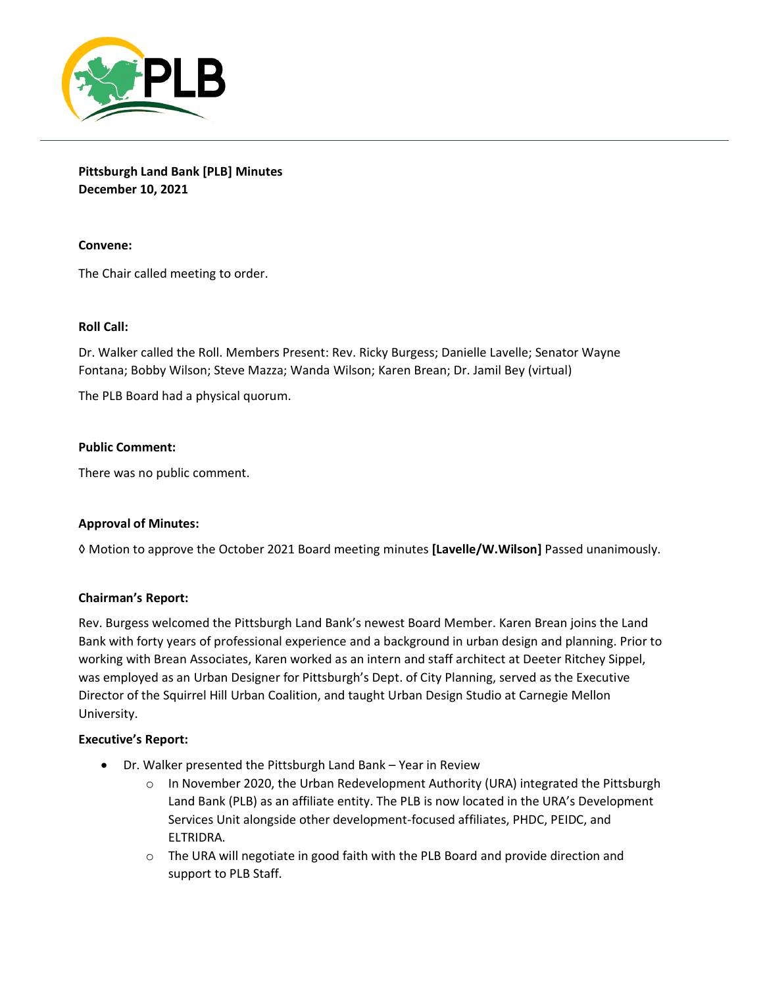

**Pittsburgh Land Bank [PLB] Minutes December 10, 2021**

# **Convene:**

The Chair called meeting to order.

## **Roll Call:**

Dr. Walker called the Roll. Members Present: Rev. Ricky Burgess; Danielle Lavelle; Senator Wayne Fontana; Bobby Wilson; Steve Mazza; Wanda Wilson; Karen Brean; Dr. Jamil Bey (virtual)

The PLB Board had a physical quorum.

## **Public Comment:**

There was no public comment.

### **Approval of Minutes:**

◊ Motion to approve the October 2021 Board meeting minutes **[Lavelle/W.Wilson]** Passed unanimously.

### **Chairman's Report:**

Rev. Burgess welcomed the Pittsburgh Land Bank's newest Board Member. Karen Brean joins the Land Bank with forty years of professional experience and a background in urban design and planning. Prior to working with Brean Associates, Karen worked as an intern and staff architect at Deeter Ritchey Sippel, was employed as an Urban Designer for Pittsburgh's Dept. of City Planning, served as the Executive Director of the Squirrel Hill Urban Coalition, and taught Urban Design Studio at Carnegie Mellon University.

### **Executive's Report:**

- Dr. Walker presented the Pittsburgh Land Bank Year in Review
	- $\circ$  In November 2020, the Urban Redevelopment Authority (URA) integrated the Pittsburgh Land Bank (PLB) as an affiliate entity. The PLB is now located in the URA's Development Services Unit alongside other development-focused affiliates, PHDC, PEIDC, and ELTRIDRA.
	- $\circ$  The URA will negotiate in good faith with the PLB Board and provide direction and support to PLB Staff.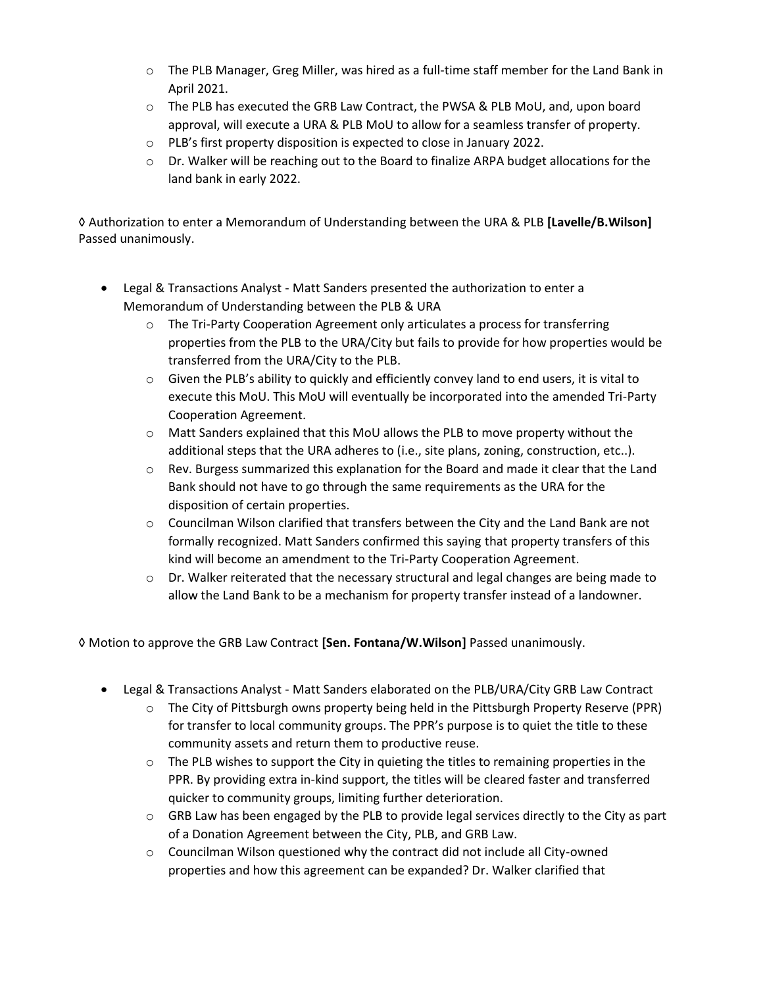- o The PLB Manager, Greg Miller, was hired as a full-time staff member for the Land Bank in April 2021.
- o The PLB has executed the GRB Law Contract, the PWSA & PLB MoU, and, upon board approval, will execute a URA & PLB MoU to allow for a seamless transfer of property.
- o PLB's first property disposition is expected to close in January 2022.
- $\circ$  Dr. Walker will be reaching out to the Board to finalize ARPA budget allocations for the land bank in early 2022.

◊ Authorization to enter a Memorandum of Understanding between the URA & PLB **[Lavelle/B.Wilson]**  Passed unanimously.

- Legal & Transactions Analyst Matt Sanders presented the authorization to enter a Memorandum of Understanding between the PLB & URA
	- $\circ$  The Tri-Party Cooperation Agreement only articulates a process for transferring properties from the PLB to the URA/City but fails to provide for how properties would be transferred from the URA/City to the PLB.
	- $\circ$  Given the PLB's ability to quickly and efficiently convey land to end users, it is vital to execute this MoU. This MoU will eventually be incorporated into the amended Tri-Party Cooperation Agreement.
	- $\circ$  Matt Sanders explained that this MoU allows the PLB to move property without the additional steps that the URA adheres to (i.e., site plans, zoning, construction, etc..).
	- $\circ$  Rev. Burgess summarized this explanation for the Board and made it clear that the Land Bank should not have to go through the same requirements as the URA for the disposition of certain properties.
	- $\circ$  Councilman Wilson clarified that transfers between the City and the Land Bank are not formally recognized. Matt Sanders confirmed this saying that property transfers of this kind will become an amendment to the Tri-Party Cooperation Agreement.
	- $\circ$  Dr. Walker reiterated that the necessary structural and legal changes are being made to allow the Land Bank to be a mechanism for property transfer instead of a landowner.

◊ Motion to approve the GRB Law Contract **[Sen. Fontana/W.Wilson]** Passed unanimously.

- Legal & Transactions Analyst Matt Sanders elaborated on the PLB/URA/City GRB Law Contract
	- $\circ$  The City of Pittsburgh owns property being held in the Pittsburgh Property Reserve (PPR) for transfer to local community groups. The PPR's purpose is to quiet the title to these community assets and return them to productive reuse.
	- $\circ$  The PLB wishes to support the City in quieting the titles to remaining properties in the PPR. By providing extra in-kind support, the titles will be cleared faster and transferred quicker to community groups, limiting further deterioration.
	- o GRB Law has been engaged by the PLB to provide legal services directly to the City as part of a Donation Agreement between the City, PLB, and GRB Law.
	- $\circ$  Councilman Wilson questioned why the contract did not include all City-owned properties and how this agreement can be expanded? Dr. Walker clarified that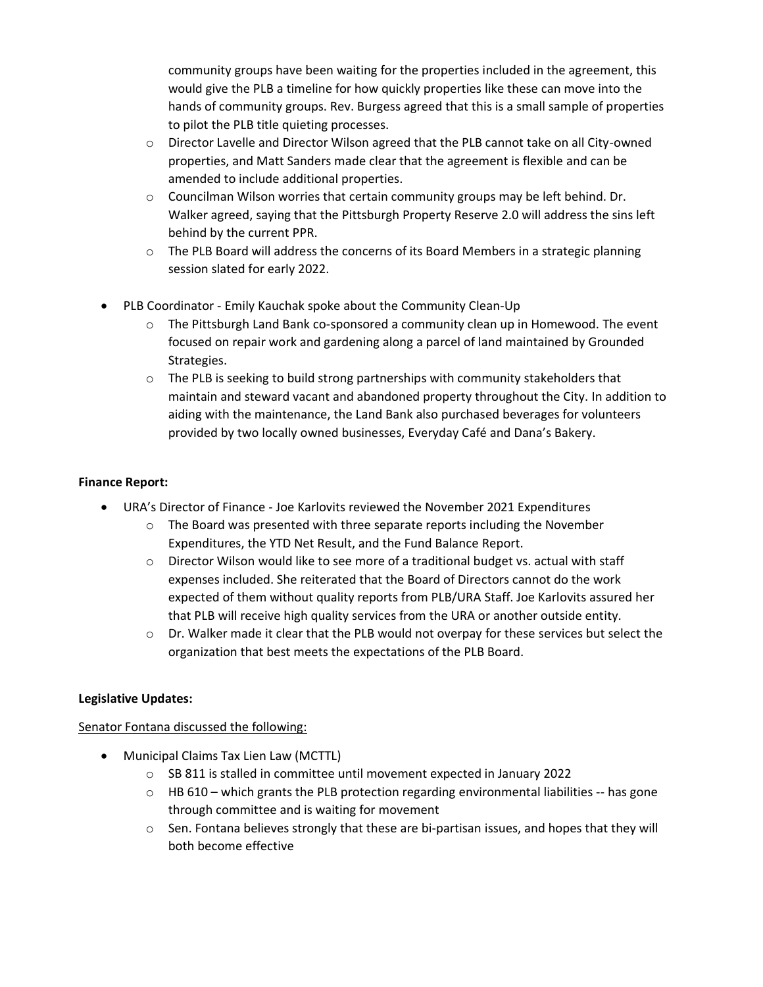community groups have been waiting for the properties included in the agreement, this would give the PLB a timeline for how quickly properties like these can move into the hands of community groups. Rev. Burgess agreed that this is a small sample of properties to pilot the PLB title quieting processes.

- o Director Lavelle and Director Wilson agreed that the PLB cannot take on all City-owned properties, and Matt Sanders made clear that the agreement is flexible and can be amended to include additional properties.
- $\circ$  Councilman Wilson worries that certain community groups may be left behind. Dr. Walker agreed, saying that the Pittsburgh Property Reserve 2.0 will address the sins left behind by the current PPR.
- $\circ$  The PLB Board will address the concerns of its Board Members in a strategic planning session slated for early 2022.
- PLB Coordinator Emily Kauchak spoke about the Community Clean-Up
	- $\circ$  The Pittsburgh Land Bank co-sponsored a community clean up in Homewood. The event focused on repair work and gardening along a parcel of land maintained by Grounded Strategies.
	- $\circ$  The PLB is seeking to build strong partnerships with community stakeholders that maintain and steward vacant and abandoned property throughout the City. In addition to aiding with the maintenance, the Land Bank also purchased beverages for volunteers provided by two locally owned businesses, Everyday Café and Dana's Bakery.

# **Finance Report:**

- URA's Director of Finance Joe Karlovits reviewed the November 2021 Expenditures
	- $\circ$  The Board was presented with three separate reports including the November Expenditures, the YTD Net Result, and the Fund Balance Report.
	- $\circ$  Director Wilson would like to see more of a traditional budget vs. actual with staff expenses included. She reiterated that the Board of Directors cannot do the work expected of them without quality reports from PLB/URA Staff. Joe Karlovits assured her that PLB will receive high quality services from the URA or another outside entity.
	- $\circ$  Dr. Walker made it clear that the PLB would not overpay for these services but select the organization that best meets the expectations of the PLB Board.

# **Legislative Updates:**

Senator Fontana discussed the following:

- Municipal Claims Tax Lien Law (MCTTL)
	- o SB 811 is stalled in committee until movement expected in January 2022
	- $\circ$  HB 610 which grants the PLB protection regarding environmental liabilities -- has gone through committee and is waiting for movement
	- $\circ$  Sen. Fontana believes strongly that these are bi-partisan issues, and hopes that they will both become effective